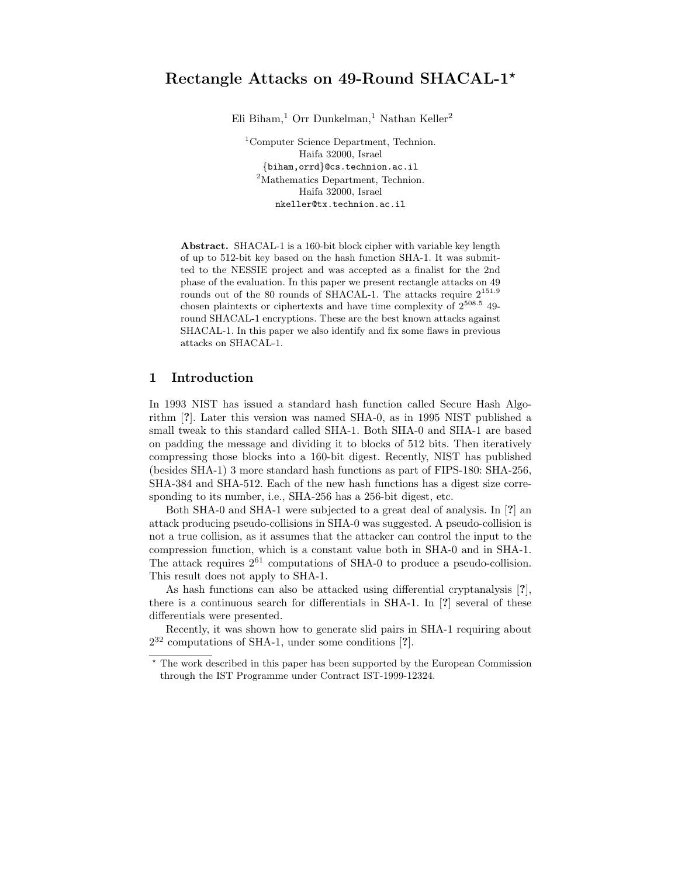Eli Biham,<sup>1</sup> Orr Dunkelman,<sup>1</sup> Nathan Keller<sup>2</sup>

<sup>1</sup>Computer Science Department, Technion. Haifa 32000, Israel {biham,orrd}@cs.technion.ac.il <sup>2</sup>Mathematics Department, Technion. Haifa 32000, Israel nkeller@tx.technion.ac.il

Abstract. SHACAL-1 is a 160-bit block cipher with variable key length of up to 512-bit key based on the hash function SHA-1. It was submitted to the NESSIE project and was accepted as a finalist for the 2nd phase of the evaluation. In this paper we present rectangle attacks on 49 rounds out of the 80 rounds of SHACAL-1. The attacks require  $2^{151.9}$ chosen plaintexts or ciphertexts and have time complexity of  $2^{508.5}$  49round SHACAL-1 encryptions. These are the best known attacks against SHACAL-1. In this paper we also identify and fix some flaws in previous attacks on SHACAL-1.

# 1 Introduction

In 1993 NIST has issued a standard hash function called Secure Hash Algorithm [?]. Later this version was named SHA-0, as in 1995 NIST published a small tweak to this standard called SHA-1. Both SHA-0 and SHA-1 are based on padding the message and dividing it to blocks of 512 bits. Then iteratively compressing those blocks into a 160-bit digest. Recently, NIST has published (besides SHA-1) 3 more standard hash functions as part of FIPS-180: SHA-256, SHA-384 and SHA-512. Each of the new hash functions has a digest size corresponding to its number, i.e., SHA-256 has a 256-bit digest, etc.

Both SHA-0 and SHA-1 were subjected to a great deal of analysis. In [?] an attack producing pseudo-collisions in SHA-0 was suggested. A pseudo-collision is not a true collision, as it assumes that the attacker can control the input to the compression function, which is a constant value both in SHA-0 and in SHA-1. The attack requires  $2^{61}$  computations of SHA-0 to produce a pseudo-collision. This result does not apply to SHA-1.

As hash functions can also be attacked using differential cryptanalysis [?], there is a continuous search for differentials in SHA-1. In [?] several of these differentials were presented.

Recently, it was shown how to generate slid pairs in SHA-1 requiring about 2 <sup>32</sup> computations of SHA-1, under some conditions [?].

<sup>?</sup> The work described in this paper has been supported by the European Commission through the IST Programme under Contract IST-1999-12324.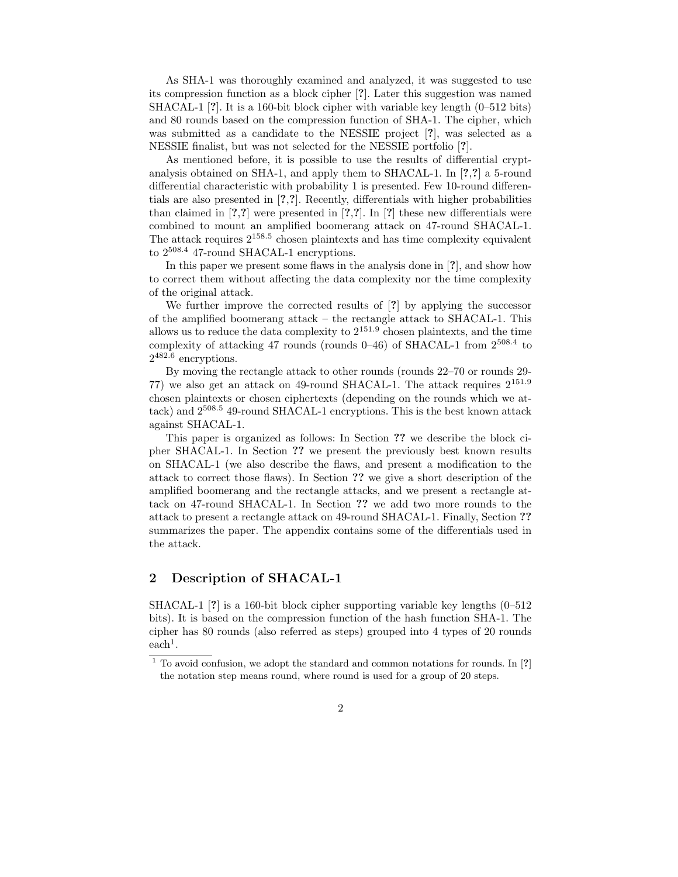As SHA-1 was thoroughly examined and analyzed, it was suggested to use its compression function as a block cipher [?]. Later this suggestion was named SHACAL-1 [?]. It is a 160-bit block cipher with variable key length (0–512 bits) and 80 rounds based on the compression function of SHA-1. The cipher, which was submitted as a candidate to the NESSIE project [?], was selected as a NESSIE finalist, but was not selected for the NESSIE portfolio [?].

As mentioned before, it is possible to use the results of differential cryptanalysis obtained on SHA-1, and apply them to SHACAL-1. In [?,?] a 5-round differential characteristic with probability 1 is presented. Few 10-round differentials are also presented in [?,?]. Recently, differentials with higher probabilities than claimed in  $[?,?]$  were presented in  $[?,?]$ . In  $[?]$  these new differentials were combined to mount an amplified boomerang attack on 47-round SHACAL-1. The attack requires 2 158.5 chosen plaintexts and has time complexity equivalent to  $2^{508.4}$  47-round SHACAL-1 encryptions.

In this paper we present some flaws in the analysis done in [?], and show how to correct them without affecting the data complexity nor the time complexity of the original attack.

We further improve the corrected results of [?] by applying the successor of the amplified boomerang attack – the rectangle attack to SHACAL-1. This allows us to reduce the data complexity to  $2^{151.9}$  chosen plaintexts, and the time complexity of attacking 47 rounds (rounds  $0-46$ ) of SHACAL-1 from  $2^{508.4}$  to 2 482.6 encryptions.

By moving the rectangle attack to other rounds (rounds 22–70 or rounds 29- 77) we also get an attack on 49-round SHACAL-1. The attack requires 2 151.9 chosen plaintexts or chosen ciphertexts (depending on the rounds which we attack) and 2 <sup>508</sup>.<sup>5</sup> 49-round SHACAL-1 encryptions. This is the best known attack against SHACAL-1.

This paper is organized as follows: In Section ?? we describe the block cipher SHACAL-1. In Section ?? we present the previously best known results on SHACAL-1 (we also describe the flaws, and present a modification to the attack to correct those flaws). In Section ?? we give a short description of the amplified boomerang and the rectangle attacks, and we present a rectangle attack on 47-round SHACAL-1. In Section ?? we add two more rounds to the attack to present a rectangle attack on 49-round SHACAL-1. Finally, Section ?? summarizes the paper. The appendix contains some of the differentials used in the attack.

## 2 Description of SHACAL-1

SHACAL-1 [?] is a 160-bit block cipher supporting variable key lengths (0–512 bits). It is based on the compression function of the hash function SHA-1. The cipher has 80 rounds (also referred as steps) grouped into 4 types of 20 rounds  $\text{each}^1$ .

 $1$  To avoid confusion, we adopt the standard and common notations for rounds. In  $[?]$ the notation step means round, where round is used for a group of 20 steps.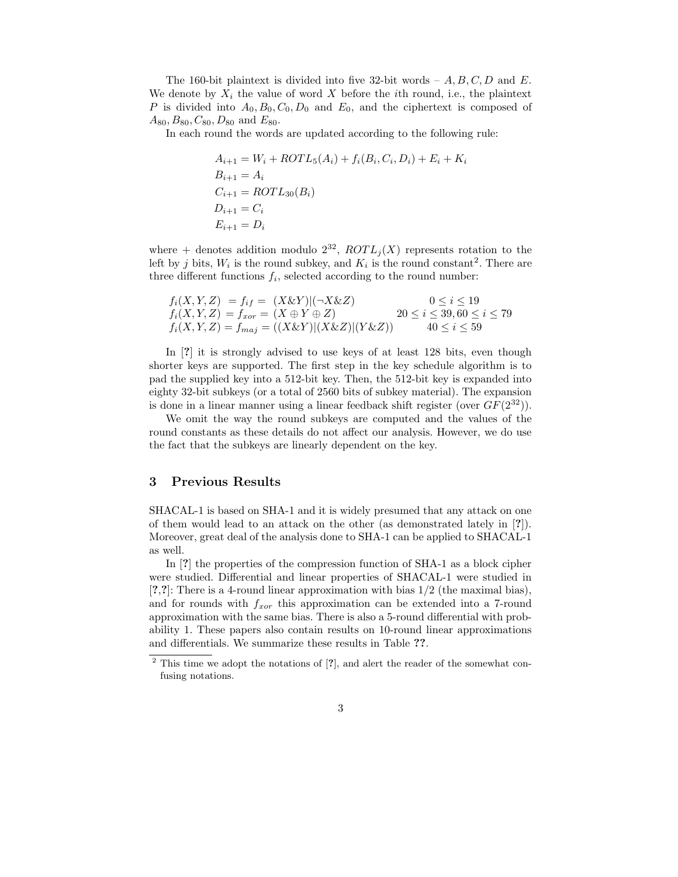The 160-bit plaintext is divided into five 32-bit words  $-A, B, C, D$  and E. We denote by  $X_i$  the value of word X before the *i*th round, i.e., the plaintext P is divided into  $A_0, B_0, C_0, D_0$  and  $E_0$ , and the ciphertext is composed of  $A_{80}, B_{80}, C_{80}, D_{80}$  and  $E_{80}$ .

In each round the words are updated according to the following rule:

$$
A_{i+1} = W_i + ROTL_5(A_i) + f_i(B_i, C_i, D_i) + E_i + K_i
$$
  
\n
$$
B_{i+1} = A_i
$$
  
\n
$$
C_{i+1} = ROTL_{30}(B_i)
$$
  
\n
$$
D_{i+1} = C_i
$$
  
\n
$$
E_{i+1} = D_i
$$

where + denotes addition modulo  $2^{32}$ ,  $ROTL_j(X)$  represents rotation to the left by j bits,  $W_i$  is the round subkey, and  $K_i$  is the round constant<sup>2</sup>. There are three different functions  $f_i$ , selected according to the round number:

$$
f_i(X, Y, Z) = f_{if} = (X \& Y)|(-X \& Z) \qquad 0 \le i \le 19
$$
  
\n
$$
f_i(X, Y, Z) = f_{xor} = (X \oplus Y \oplus Z) \qquad 20 \le i \le 39, 60 \le i \le 79
$$
  
\n
$$
f_i(X, Y, Z) = f_{maj} = ((X \& Y)|(X \& Z)|(Y \& Z)) \qquad 40 \le i \le 59
$$

In [?] it is strongly advised to use keys of at least 128 bits, even though shorter keys are supported. The first step in the key schedule algorithm is to pad the supplied key into a 512-bit key. Then, the 512-bit key is expanded into eighty 32-bit subkeys (or a total of 2560 bits of subkey material). The expansion is done in a linear manner using a linear feedback shift register (over  $GF(2^{32})$ ).

We omit the way the round subkeys are computed and the values of the round constants as these details do not affect our analysis. However, we do use the fact that the subkeys are linearly dependent on the key.

### 3 Previous Results

SHACAL-1 is based on SHA-1 and it is widely presumed that any attack on one of them would lead to an attack on the other (as demonstrated lately in [?]). Moreover, great deal of the analysis done to SHA-1 can be applied to SHACAL-1 as well.

In [?] the properties of the compression function of SHA-1 as a block cipher were studied. Differential and linear properties of SHACAL-1 were studied in [?,?]: There is a 4-round linear approximation with bias 1/2 (the maximal bias), and for rounds with  $f_{xor}$  this approximation can be extended into a 7-round approximation with the same bias. There is also a 5-round differential with probability 1. These papers also contain results on 10-round linear approximations and differentials. We summarize these results in Table ??.

<sup>&</sup>lt;sup>2</sup> This time we adopt the notations of [?], and alert the reader of the somewhat confusing notations.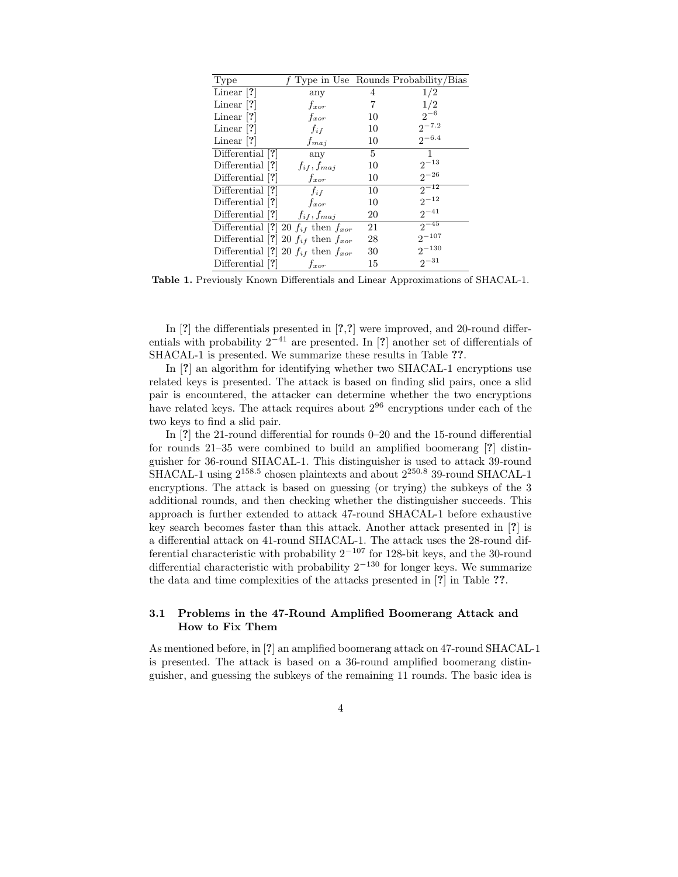| <b>Type</b>        |                                             |    | $f$ Type in Use Rounds Probability/Bias |
|--------------------|---------------------------------------------|----|-----------------------------------------|
| Linear $[?]$       | any                                         | 4  | 1/2                                     |
| Linear $[?]$       | $f_{xor}$                                   | 7  | 1/2                                     |
| Linear $[?]$       | $f_{xor}$                                   | 10 | $2^{-6}$                                |
| Linear $ ? $       | $f_{if}$                                    | 10 | $2^{-7.2}$                              |
| Linear $ ? $       | $f_{maj}$                                   | 10 | $2^{-6.4}$                              |
| Differential [?]   | any                                         | 5  | $\mathbf{1}$                            |
| Differential [?]   | $f_{if}, f_{maj}$                           | 10 | $2^{-13}$                               |
| Differential [?]   | $f_{xor}$                                   | 10 | $2^{-26}$                               |
| Differential [?]   | $f_{if}$                                    | 10 | $2^{-12}$                               |
| Differential $ ? $ | $f_{xor}$                                   | 10 | $2^{-12}$                               |
| Differential [?]   | $f_{if}, f_{maj}$                           | 20 | $2^{-41}$                               |
|                    | Differential [?] 20 $f_{if}$ then $f_{xor}$ | 21 | $2^{-45}$                               |
|                    | Differential [?] 20 $f_{if}$ then $f_{xor}$ | 28 | $2^{-107}$                              |
|                    | Differential [?] 20 $f_{if}$ then $f_{xor}$ | 30 | $2^{-130}$                              |
| Differential [?]   | $f_{xor}$                                   | 15 | $2^{-31}$                               |

Table 1. Previously Known Differentials and Linear Approximations of SHACAL-1.

In [?] the differentials presented in [?,?] were improved, and 20-round differentials with probability  $2^{-41}$  are presented. In [?] another set of differentials of SHACAL-1 is presented. We summarize these results in Table ??.

In [?] an algorithm for identifying whether two SHACAL-1 encryptions use related keys is presented. The attack is based on finding slid pairs, once a slid pair is encountered, the attacker can determine whether the two encryptions have related keys. The attack requires about  $2^{96}$  encryptions under each of the two keys to find a slid pair.

In [?] the 21-round differential for rounds 0–20 and the 15-round differential for rounds 21–35 were combined to build an amplified boomerang [?] distinguisher for 36-round SHACAL-1. This distinguisher is used to attack 39-round SHACAL-1 using  $2^{158.5}$  chosen plaintexts and about  $2^{250.8}$  39-round SHACAL-1 encryptions. The attack is based on guessing (or trying) the subkeys of the 3 additional rounds, and then checking whether the distinguisher succeeds. This approach is further extended to attack 47-round SHACAL-1 before exhaustive key search becomes faster than this attack. Another attack presented in [?] is a differential attack on 41-round SHACAL-1. The attack uses the 28-round differential characteristic with probability  $2^{-107}$  for 128-bit keys, and the 30-round differential characteristic with probability  $2^{-130}$  for longer keys. We summarize the data and time complexities of the attacks presented in [?] in Table ??.

### 3.1 Problems in the 47-Round Amplified Boomerang Attack and How to Fix Them

As mentioned before, in [?] an amplified boomerang attack on 47-round SHACAL-1 is presented. The attack is based on a 36-round amplified boomerang distinguisher, and guessing the subkeys of the remaining 11 rounds. The basic idea is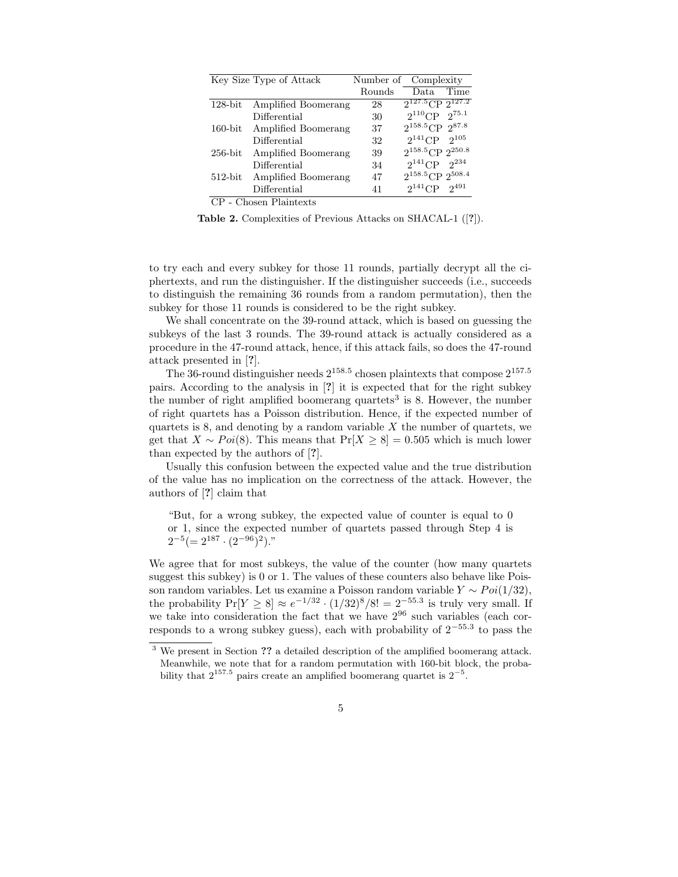|            | Key Size Type of Attack |        | Number of Complexity       |
|------------|-------------------------|--------|----------------------------|
|            |                         | Rounds | Time<br>Data.              |
| $128$ -bit | Amplified Boomerang     | 28     | $2^{127.5}$ CP $2^{127.2}$ |
|            | Differential            | 30     | $2^{110}$ CP $2^{75.1}$    |
| $160$ -bit | Amplified Boomerang     | 37     | $2^{158.5}$ CP $2^{87.8}$  |
|            | Differential            | 32     | $2^{141}$ CP $2^{105}$     |
| $256$ -bit | Amplified Boomerang     | 39     | $2^{158.5}$ CP $2^{250.8}$ |
|            | Differential            | 34     | $2^{141}$ CP<br>$2^{234}$  |
| $512$ -bit | Amplified Boomerang     | 47     | $2^{158.5}$ CP $2^{508.4}$ |
|            | Differential            | 41     | $2^{141}$ CP<br>$2^{491}$  |
|            | CP - Chosen Plaintexts  |        |                            |

Table 2. Complexities of Previous Attacks on SHACAL-1 ([?]).

to try each and every subkey for those 11 rounds, partially decrypt all the ciphertexts, and run the distinguisher. If the distinguisher succeeds (i.e., succeeds to distinguish the remaining 36 rounds from a random permutation), then the subkey for those 11 rounds is considered to be the right subkey.

We shall concentrate on the 39-round attack, which is based on guessing the subkeys of the last 3 rounds. The 39-round attack is actually considered as a procedure in the 47-round attack, hence, if this attack fails, so does the 47-round attack presented in [?].

The 36-round distinguisher needs  $2^{158.5}$  chosen plaintexts that compose  $2^{157.5}$ pairs. According to the analysis in [?] it is expected that for the right subkey the number of right amplified boomerang quartets<sup>3</sup> is 8. However, the number of right quartets has a Poisson distribution. Hence, if the expected number of quartets is 8, and denoting by a random variable  $X$  the number of quartets, we get that  $X \sim Poi(8)$ . This means that  $Pr[X \ge 8] = 0.505$  which is much lower than expected by the authors of [?].

Usually this confusion between the expected value and the true distribution of the value has no implication on the correctness of the attack. However, the authors of [?] claim that

"But, for a wrong subkey, the expected value of counter is equal to 0 or 1, since the expected number of quartets passed through Step 4 is  $2^{-5} (= 2^{187} \cdot (2^{-96})^2)$ ."

We agree that for most subkeys, the value of the counter (how many quartets suggest this subkey) is 0 or 1. The values of these counters also behave like Poisson random variables. Let us examine a Poisson random variable  $Y \sim Poi(1/32)$ , the probability  $Pr[Y \ge 8] \approx e^{-1/32} \cdot (1/32)^8/8! = 2^{-55.3}$  is truly very small. If we take into consideration the fact that we have  $2^{96}$  such variables (each corresponds to a wrong subkey guess), each with probability of  $2^{-55.3}$  to pass the

<sup>&</sup>lt;sup>3</sup> We present in Section ?? a detailed description of the amplified boomerang attack. Meanwhile, we note that for a random permutation with 160-bit block, the probability that  $2^{157.5}$  pairs create an amplified boomerang quartet is  $2^{-5}$ .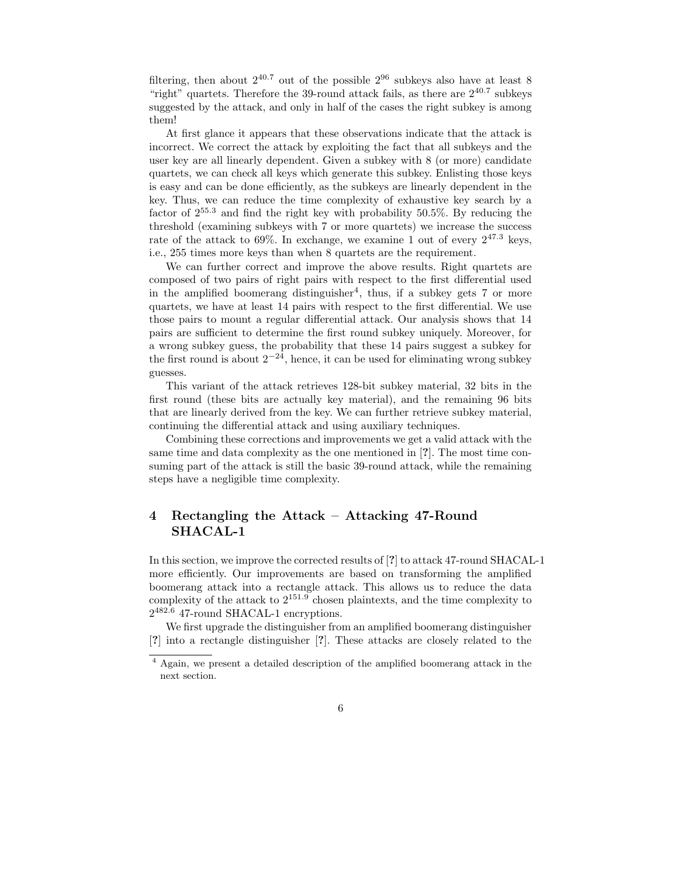filtering, then about  $2^{40.7}$  out of the possible  $2^{96}$  subkeys also have at least 8 "right" quartets. Therefore the 39-round attack fails, as there are  $2^{40.7}$  subkeys suggested by the attack, and only in half of the cases the right subkey is among them!

At first glance it appears that these observations indicate that the attack is incorrect. We correct the attack by exploiting the fact that all subkeys and the user key are all linearly dependent. Given a subkey with 8 (or more) candidate quartets, we can check all keys which generate this subkey. Enlisting those keys is easy and can be done efficiently, as the subkeys are linearly dependent in the key. Thus, we can reduce the time complexity of exhaustive key search by a factor of 2 <sup>55</sup>.<sup>3</sup> and find the right key with probability 50.5%. By reducing the threshold (examining subkeys with 7 or more quartets) we increase the success rate of the attack to 69%. In exchange, we examine 1 out of every  $2^{47.3}$  keys, i.e., 255 times more keys than when 8 quartets are the requirement.

We can further correct and improve the above results. Right quartets are composed of two pairs of right pairs with respect to the first differential used in the amplified boomerang distinguisher<sup>4</sup>, thus, if a subkey gets 7 or more quartets, we have at least 14 pairs with respect to the first differential. We use those pairs to mount a regular differential attack. Our analysis shows that 14 pairs are sufficient to determine the first round subkey uniquely. Moreover, for a wrong subkey guess, the probability that these 14 pairs suggest a subkey for the first round is about  $2^{-24}$ , hence, it can be used for eliminating wrong subkey guesses.

This variant of the attack retrieves 128-bit subkey material, 32 bits in the first round (these bits are actually key material), and the remaining 96 bits that are linearly derived from the key. We can further retrieve subkey material, continuing the differential attack and using auxiliary techniques.

Combining these corrections and improvements we get a valid attack with the same time and data complexity as the one mentioned in [?]. The most time consuming part of the attack is still the basic 39-round attack, while the remaining steps have a negligible time complexity.

# 4 Rectangling the Attack – Attacking 47-Round SHACAL-1

In this section, we improve the corrected results of [?] to attack 47-round SHACAL-1 more efficiently. Our improvements are based on transforming the amplified boomerang attack into a rectangle attack. This allows us to reduce the data complexity of the attack to  $2^{151.9}$  chosen plaintexts, and the time complexity to 2 <sup>482</sup>.<sup>6</sup> 47-round SHACAL-1 encryptions.

We first upgrade the distinguisher from an amplified boomerang distinguisher [?] into a rectangle distinguisher [?]. These attacks are closely related to the

<sup>4</sup> Again, we present a detailed description of the amplified boomerang attack in the next section.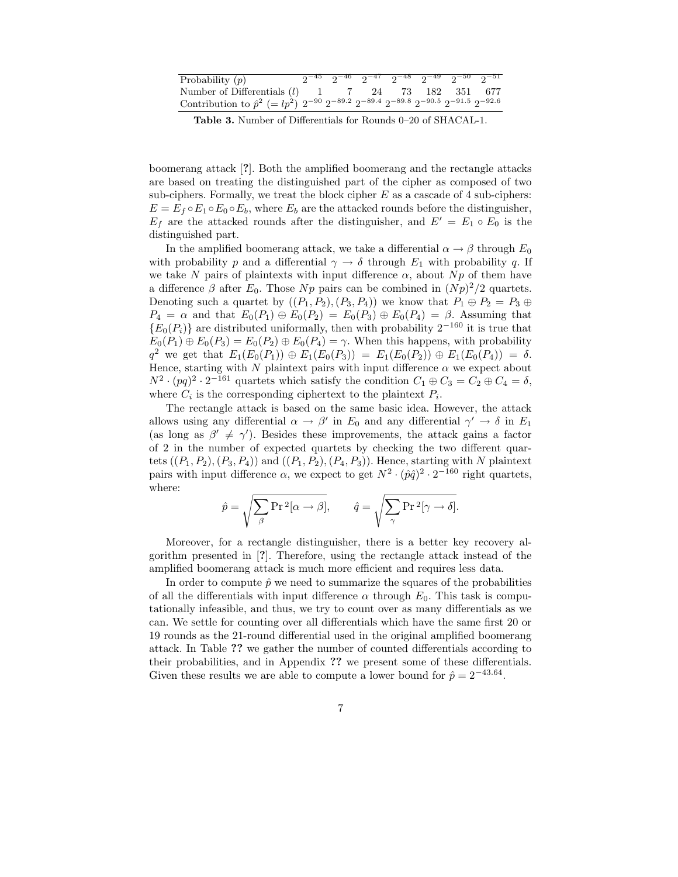| Probability $(p)$                                                                                                         |  |  | $2^{-45}$ $2^{-46}$ $2^{-47}$ $2^{-48}$ $2^{-49}$ $2^{-50}$ $2^{-51}$ |  |
|---------------------------------------------------------------------------------------------------------------------------|--|--|-----------------------------------------------------------------------|--|
| Number of Differentials $(l)$ 1 7 24 73 182 351 677                                                                       |  |  |                                                                       |  |
| Contribution to $\hat{p}^2$ (= $lp^2$ ) $2^{-90}$ $2^{-89.2}$ $2^{-89.4}$ $2^{-89.8}$ $2^{-90.5}$ $2^{-91.5}$ $2^{-92.6}$ |  |  |                                                                       |  |

Table 3. Number of Differentials for Rounds 0–20 of SHACAL-1.

boomerang attack [?]. Both the amplified boomerang and the rectangle attacks are based on treating the distinguished part of the cipher as composed of two sub-ciphers. Formally, we treat the block cipher  $E$  as a cascade of 4 sub-ciphers:  $E = E_f \circ E_1 \circ E_0 \circ E_b$ , where  $E_b$  are the attacked rounds before the distinguisher,  $E_f$  are the attacked rounds after the distinguisher, and  $E' = E_1 \circ E_0$  is the distinguished part.

In the amplified boomerang attack, we take a differential  $\alpha \to \beta$  through  $E_0$ with probability p and a differential  $\gamma \to \delta$  through  $E_1$  with probability q. If we take N pairs of plaintexts with input difference  $\alpha$ , about Np of them have a difference  $\beta$  after  $E_0$ . Those  $Np$  pairs can be combined in  $(Np)^2/2$  quartets. Denoting such a quartet by  $((P_1, P_2), (P_3, P_4))$  we know that  $P_1 \oplus P_2 = P_3 \oplus P_4$  $P_4 = \alpha$  and that  $E_0(P_1) \oplus E_0(P_2) = E_0(P_3) \oplus E_0(P_4) = \beta$ . Assuming that  ${E_0(P_i)}$  are distributed uniformally, then with probability  $2^{-160}$  it is true that  $E_0(P_1) \oplus E_0(P_3) = E_0(P_2) \oplus E_0(P_4) = \gamma$ . When this happens, with probability  $q^2$  we get that  $E_1(E_0(P_1)) \oplus E_1(E_0(P_3)) = E_1(E_0(P_2)) \oplus E_1(E_0(P_4)) = \delta.$ Hence, starting with N plaintext pairs with input difference  $\alpha$  we expect about  $N^2 \cdot (pq)^2 \cdot 2^{-161}$  quartets which satisfy the condition  $C_1 \oplus C_3 = C_2 \oplus C_4 = \delta$ , where  $C_i$  is the corresponding ciphertext to the plaintext  $P_i$ .

The rectangle attack is based on the same basic idea. However, the attack allows using any differential  $\alpha \to \beta'$  in  $E_0$  and any differential  $\gamma' \to \delta$  in  $E_1$ (as long as  $\beta' \neq \gamma'$ ). Besides these improvements, the attack gains a factor of 2 in the number of expected quartets by checking the two different quartets  $((P_1, P_2), (P_3, P_4))$  and  $((P_1, P_2), (P_4, P_3))$ . Hence, starting with N plaintext pairs with input difference  $\alpha$ , we expect to get  $N^2 \cdot (\hat{p}\hat{q})^2 \cdot 2^{-160}$  right quartets, where:

$$
\hat{p} = \sqrt{\sum_{\beta} \Pr^2[\alpha \to \beta]}, \qquad \hat{q} = \sqrt{\sum_{\gamma} \Pr^2[\gamma \to \delta]}.
$$

Moreover, for a rectangle distinguisher, there is a better key recovery algorithm presented in [?]. Therefore, using the rectangle attack instead of the amplified boomerang attack is much more efficient and requires less data.

In order to compute  $\hat{p}$  we need to summarize the squares of the probabilities of all the differentials with input difference  $\alpha$  through  $E_0$ . This task is computationally infeasible, and thus, we try to count over as many differentials as we can. We settle for counting over all differentials which have the same first 20 or 19 rounds as the 21-round differential used in the original amplified boomerang attack. In Table ?? we gather the number of counted differentials according to their probabilities, and in Appendix ?? we present some of these differentials. Given these results we are able to compute a lower bound for  $\hat{p} = 2^{-43.64}$ .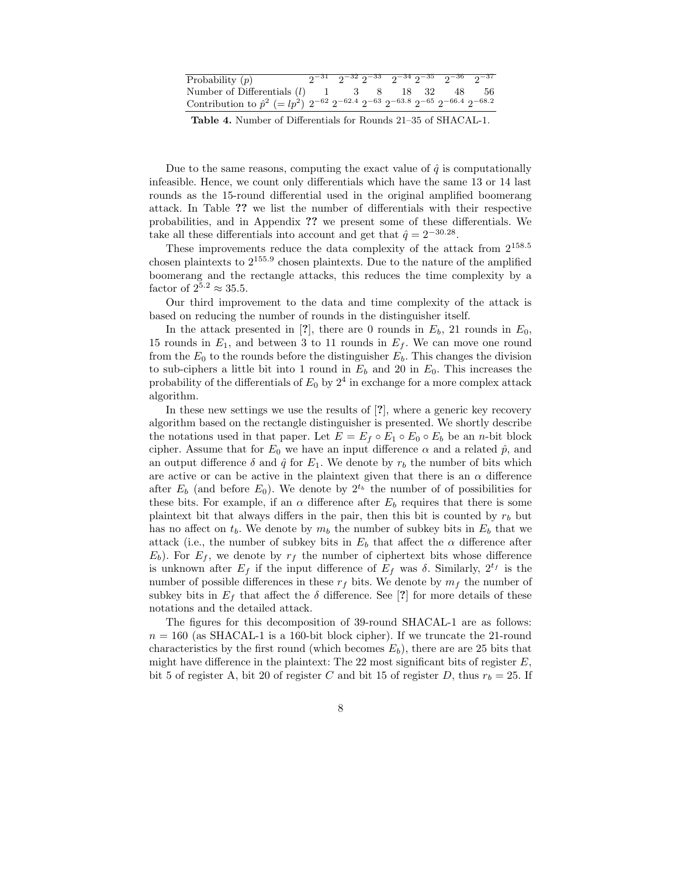| Probability $(p)$                                                                                                     |  |  |  | $2^{-31}$ $2^{-32}$ $2^{-33}$ $2^{-34}$ $2^{-35}$ $2^{-36}$ $2^{-37}$ |
|-----------------------------------------------------------------------------------------------------------------------|--|--|--|-----------------------------------------------------------------------|
| Number of Differentials $(l)$ 1 3 8 18 32 48 56                                                                       |  |  |  |                                                                       |
| Contribution to $\hat{p}^2$ (= $lp^2$ ) $2^{-62}$ $2^{-62.4}$ $2^{-63}$ $2^{-63.8}$ $2^{-65}$ $2^{-66.4}$ $2^{-68.2}$ |  |  |  |                                                                       |

Table 4. Number of Differentials for Rounds 21–35 of SHACAL-1.

Due to the same reasons, computing the exact value of  $\hat{q}$  is computationally infeasible. Hence, we count only differentials which have the same 13 or 14 last rounds as the 15-round differential used in the original amplified boomerang attack. In Table ?? we list the number of differentials with their respective probabilities, and in Appendix ?? we present some of these differentials. We take all these differentials into account and get that  $\hat{q} = 2^{-30.28}$ .

These improvements reduce the data complexity of the attack from  $2^{158.5}$ chosen plaintexts to 2 155.9 chosen plaintexts. Due to the nature of the amplified boomerang and the rectangle attacks, this reduces the time complexity by a factor of  $2^{5.2} \approx 35.5$ .

Our third improvement to the data and time complexity of the attack is based on reducing the number of rounds in the distinguisher itself.

In the attack presented in [?], there are 0 rounds in  $E_b$ , 21 rounds in  $E_0$ , 15 rounds in  $E_1$ , and between 3 to 11 rounds in  $E_f$ . We can move one round from the  $E_0$  to the rounds before the distinguisher  $E_b$ . This changes the division to sub-ciphers a little bit into 1 round in  $E<sub>b</sub>$  and 20 in  $E<sub>0</sub>$ . This increases the probability of the differentials of  $E_0$  by  $2^4$  in exchange for a more complex attack algorithm.

In these new settings we use the results of [?], where a generic key recovery algorithm based on the rectangle distinguisher is presented. We shortly describe the notations used in that paper. Let  $E = E_f \circ E_1 \circ E_0 \circ E_b$  be an *n*-bit block cipher. Assume that for  $E_0$  we have an input difference  $\alpha$  and a related  $\hat{p}$ , and an output difference  $\delta$  and  $\hat{q}$  for  $E_1$ . We denote by  $r_b$  the number of bits which are active or can be active in the plaintext given that there is an  $\alpha$  difference after  $E_b$  (and before  $E_0$ ). We denote by  $2^{t_b}$  the number of of possibilities for these bits. For example, if an  $\alpha$  difference after  $E_b$  requires that there is some plaintext bit that always differs in the pair, then this bit is counted by  $r_b$  but has no affect on  $t_b$ . We denote by  $m_b$  the number of subkey bits in  $E_b$  that we attack (i.e., the number of subkey bits in  $E_b$  that affect the  $\alpha$  difference after  $E_b$ ). For  $E_f$ , we denote by  $r_f$  the number of ciphertext bits whose difference is unknown after  $E_f$  if the input difference of  $E_f$  was  $\delta$ . Similarly,  $2^{t_f}$  is the number of possible differences in these  $r_f$  bits. We denote by  $m_f$  the number of subkey bits in  $E_f$  that affect the  $\delta$  difference. See [?] for more details of these notations and the detailed attack.

The figures for this decomposition of 39-round SHACAL-1 are as follows:  $n = 160$  (as SHACAL-1 is a 160-bit block cipher). If we truncate the 21-round characteristics by the first round (which becomes  $E_b$ ), there are are 25 bits that might have difference in the plaintext: The 22 most significant bits of register  $E$ , bit 5 of register A, bit 20 of register C and bit 15 of register D, thus  $r_b = 25$ . If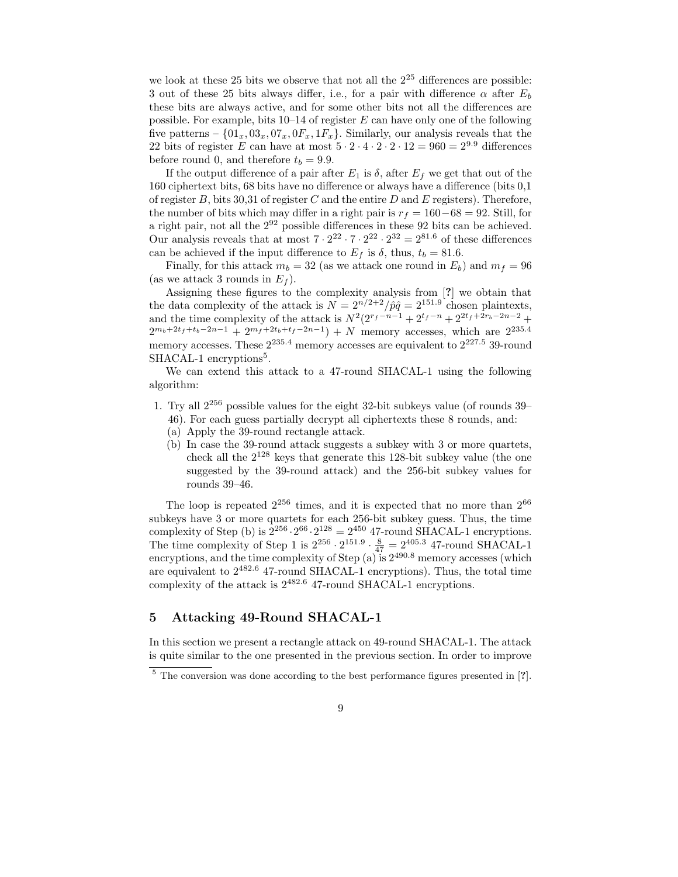we look at these 25 bits we observe that not all the  $2^{25}$  differences are possible: 3 out of these 25 bits always differ, i.e., for a pair with difference  $\alpha$  after  $E_b$ these bits are always active, and for some other bits not all the differences are possible. For example, bits  $10-14$  of register E can have only one of the following five patterns –  $\{01_x, 03_x, 07_x, 0F_x, 1F_x\}$ . Similarly, our analysis reveals that the 22 bits of register E can have at most  $5 \cdot 2 \cdot 4 \cdot 2 \cdot 2 \cdot 12 = 960 = 2^{9.9}$  differences before round 0, and therefore  $t_b = 9.9$ .

If the output difference of a pair after  $E_1$  is  $\delta$ , after  $E_f$  we get that out of the 160 ciphertext bits, 68 bits have no difference or always have a difference (bits 0,1 of register  $B$ , bits 30,31 of register  $C$  and the entire  $D$  and  $E$  registers). Therefore, the number of bits which may differ in a right pair is  $r_f = 160-68 = 92$ . Still, for a right pair, not all the 2 <sup>92</sup> possible differences in these 92 bits can be achieved. Our analysis reveals that at most  $7 \cdot 2^{22} \cdot 7 \cdot 2^{22} \cdot 2^{32} = 2^{81.6}$  of these differences can be achieved if the input difference to  $E_f$  is  $\delta$ , thus,  $t_b = 81.6$ .

Finally, for this attack  $m_b = 32$  (as we attack one round in  $E_b$ ) and  $m_f = 96$ (as we attack 3 rounds in  $E_f$ ).

Assigning these figures to the complexity analysis from [?] we obtain that the data complexity of the attack is  $N = 2^{n/2+2}/\hat{p}\hat{q} = 2^{151.9}$  chosen plaintexts, and the time complexity of the attack is  $N^2(2^{r_f-n-1}+2^{t_f-n}+2^{2t_f+2r_b-2n-2}+$  $2^{m_b+2t_f+t_b-2n-1}+2^{m_f+2t_b+t_f-2n-1})+N$  memory accesses, which are  $2^{235.4}$ memory accesses. These  $2^{235.4}$  memory accesses are equivalent to  $2^{227.5}$  39-round SHACAL-1 encryptions<sup>5</sup>.

We can extend this attack to a 47-round SHACAL-1 using the following algorithm:

- 1. Try all 2 <sup>256</sup> possible values for the eight 32-bit subkeys value (of rounds 39–
	- 46). For each guess partially decrypt all ciphertexts these 8 rounds, and:
	- (a) Apply the 39-round rectangle attack.
	- (b) In case the 39-round attack suggests a subkey with 3 or more quartets, check all the  $2^{128}$  keys that generate this 128-bit subkey value (the one suggested by the 39-round attack) and the 256-bit subkey values for rounds 39–46.

The loop is repeated  $2^{256}$  times, and it is expected that no more than  $2^{66}$ subkeys have 3 or more quartets for each 256-bit subkey guess. Thus, the time complexity of Step (b) is  $2^{256} \cdot 2^{66} \cdot 2^{128} = 2^{450}$  47-round SHACAL-1 encryptions. The time complexity of Step 1 is  $2^{256} \cdot 2^{151.9} \cdot \frac{8}{47} = 2^{405.3}$  47-round SHACAL-1 encryptions, and the time complexity of Step (a) is  $2^{490.8}$  memory accesses (which are equivalent to  $2^{482.6}$  47-round SHACAL-1 encryptions). Thus, the total time complexity of the attack is  $2^{482.6}$  47-round SHACAL-1 encryptions.

## 5 Attacking 49-Round SHACAL-1

In this section we present a rectangle attack on 49-round SHACAL-1. The attack is quite similar to the one presented in the previous section. In order to improve

<sup>&</sup>lt;sup>5</sup> The conversion was done according to the best performance figures presented in [?].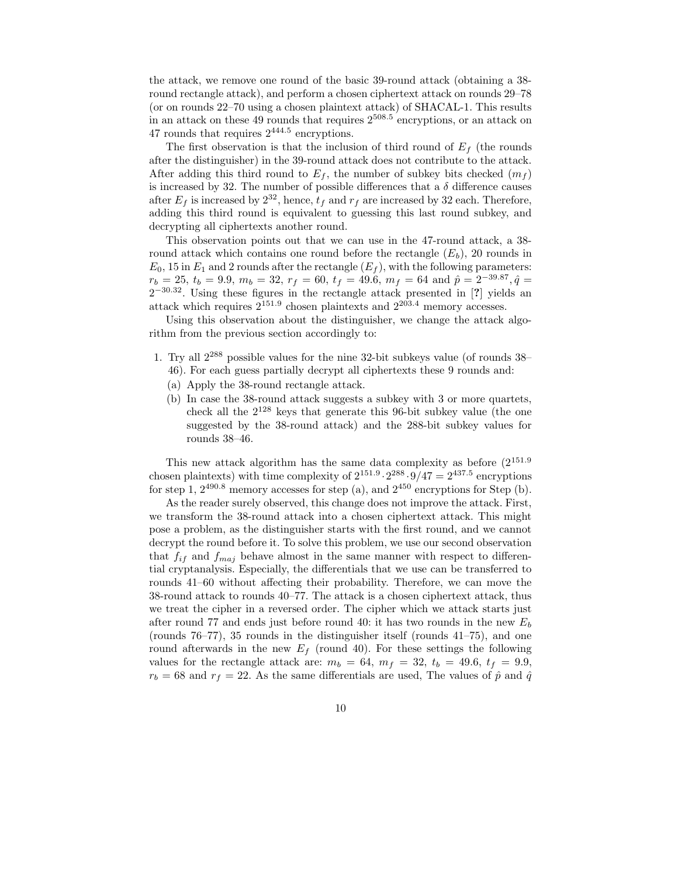the attack, we remove one round of the basic 39-round attack (obtaining a 38 round rectangle attack), and perform a chosen ciphertext attack on rounds 29–78 (or on rounds 22–70 using a chosen plaintext attack) of SHACAL-1. This results in an attack on these 49 rounds that requires 2 508.5 encryptions, or an attack on 47 rounds that requires  $2^{444.5}$  encryptions.

The first observation is that the inclusion of third round of  $E_f$  (the rounds after the distinguisher) in the 39-round attack does not contribute to the attack. After adding this third round to  $E_f$ , the number of subkey bits checked  $(m_f)$ is increased by 32. The number of possible differences that a  $\delta$  difference causes after  $E_f$  is increased by  $2^{32}$ , hence,  $t_f$  and  $r_f$  are increased by 32 each. Therefore, adding this third round is equivalent to guessing this last round subkey, and decrypting all ciphertexts another round.

This observation points out that we can use in the 47-round attack, a 38 round attack which contains one round before the rectangle  $(E_b)$ , 20 rounds in  $E_0$ , 15 in  $E_1$  and 2 rounds after the rectangle  $(E_f)$ , with the following parameters:  $r_b = 25$ ,  $t_b = 9.9$ ,  $m_b = 32$ ,  $r_f = 60$ ,  $t_f = 49.6$ ,  $m_f = 64$  and  $\hat{p} = 2^{-39.87}$ ,  $\hat{q} =$  $2^{-30.32}$ . Using these figures in the rectangle attack presented in [?] yields an attack which requires  $2^{151.9}$  chosen plaintexts and  $2^{203.4}$  memory accesses.

Using this observation about the distinguisher, we change the attack algorithm from the previous section accordingly to:

- 1. Try all 2 <sup>288</sup> possible values for the nine 32-bit subkeys value (of rounds 38–
	- 46). For each guess partially decrypt all ciphertexts these 9 rounds and:
	- (a) Apply the 38-round rectangle attack.
	- (b) In case the 38-round attack suggests a subkey with 3 or more quartets, check all the 2 <sup>128</sup> keys that generate this 96-bit subkey value (the one suggested by the 38-round attack) and the 288-bit subkey values for rounds 38–46.

This new attack algorithm has the same data complexity as before  $(2^{151.9})$ chosen plaintexts) with time complexity of  $2^{151.9} \cdot 2^{288} \cdot 9/47 = 2^{437.5}$  encryptions for step 1,  $2^{490.8}$  memory accesses for step (a), and  $2^{450}$  encryptions for Step (b).

As the reader surely observed, this change does not improve the attack. First, we transform the 38-round attack into a chosen ciphertext attack. This might pose a problem, as the distinguisher starts with the first round, and we cannot decrypt the round before it. To solve this problem, we use our second observation that  $f_{if}$  and  $f_{maj}$  behave almost in the same manner with respect to differential cryptanalysis. Especially, the differentials that we use can be transferred to rounds 41–60 without affecting their probability. Therefore, we can move the 38-round attack to rounds 40–77. The attack is a chosen ciphertext attack, thus we treat the cipher in a reversed order. The cipher which we attack starts just after round 77 and ends just before round 40: it has two rounds in the new  $E_b$ (rounds 76–77), 35 rounds in the distinguisher itself (rounds 41–75), and one round afterwards in the new  $E_f$  (round 40). For these settings the following values for the rectangle attack are:  $m_b = 64$ ,  $m_f = 32$ ,  $t_b = 49.6$ ,  $t_f = 9.9$ ,  $r_b = 68$  and  $r_f = 22$ . As the same differentials are used, The values of  $\hat{p}$  and  $\hat{q}$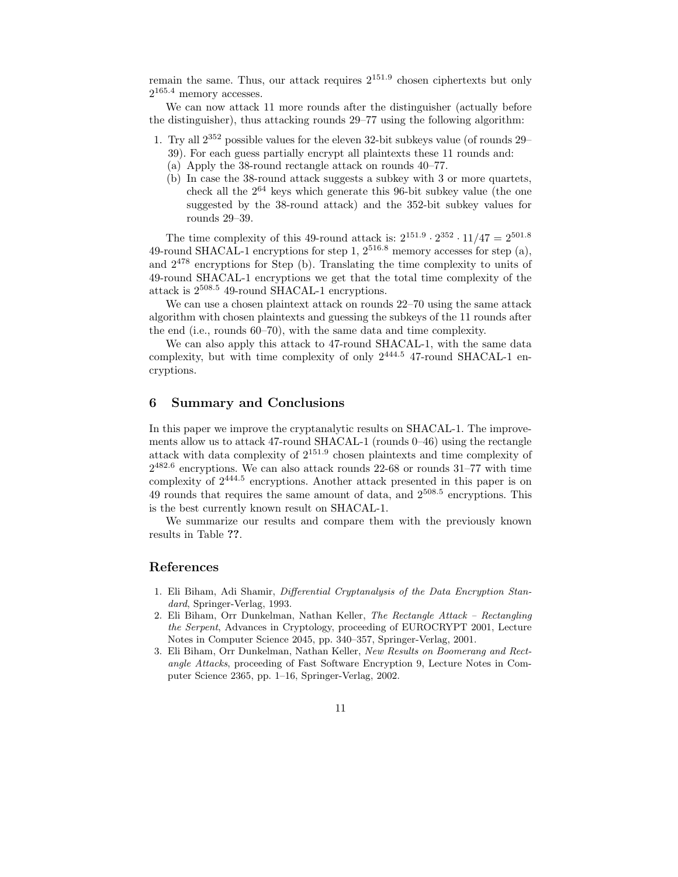remain the same. Thus, our attack requires  $2^{151.9}$  chosen ciphertexts but only  $2^{165.4}$  memory accesses.

We can now attack 11 more rounds after the distinguisher (actually before the distinguisher), thus attacking rounds 29–77 using the following algorithm:

- 1. Try all 2 <sup>352</sup> possible values for the eleven 32-bit subkeys value (of rounds 29–
	- 39). For each guess partially encrypt all plaintexts these 11 rounds and:
	- (a) Apply the 38-round rectangle attack on rounds 40–77.
	- (b) In case the 38-round attack suggests a subkey with 3 or more quartets, check all the 2 <sup>64</sup> keys which generate this 96-bit subkey value (the one suggested by the 38-round attack) and the 352-bit subkey values for rounds 29–39.

The time complexity of this 49-round attack is:  $2^{151.9} \cdot 2^{352} \cdot 11/47 = 2^{501.8}$ 49-round SHACAL-1 encryptions for step 1,  $2^{516.8}$  memory accesses for step (a), and 2 <sup>478</sup> encryptions for Step (b). Translating the time complexity to units of 49-round SHACAL-1 encryptions we get that the total time complexity of the attack is 2 <sup>508</sup>.<sup>5</sup> 49-round SHACAL-1 encryptions.

We can use a chosen plaintext attack on rounds 22–70 using the same attack algorithm with chosen plaintexts and guessing the subkeys of the 11 rounds after the end (i.e., rounds 60–70), with the same data and time complexity.

We can also apply this attack to 47-round SHACAL-1, with the same data complexity, but with time complexity of only  $2^{444.5}$  47-round SHACAL-1 encryptions.

## 6 Summary and Conclusions

In this paper we improve the cryptanalytic results on SHACAL-1. The improvements allow us to attack 47-round SHACAL-1 (rounds  $0-46$ ) using the rectangle attack with data complexity of 2 151.9 chosen plaintexts and time complexity of 2 482.6 encryptions. We can also attack rounds 22-68 or rounds 31–77 with time complexity of 2 444.5 encryptions. Another attack presented in this paper is on  $49$  rounds that requires the same amount of data, and  $2^{508.5}$  encryptions. This is the best currently known result on SHACAL-1.

We summarize our results and compare them with the previously known results in Table ??.

#### References

- 1. Eli Biham, Adi Shamir, Differential Cryptanalysis of the Data Encryption Standard, Springer-Verlag, 1993.
- 2. Eli Biham, Orr Dunkelman, Nathan Keller, The Rectangle Attack Rectangling the Serpent, Advances in Cryptology, proceeding of EUROCRYPT 2001, Lecture Notes in Computer Science 2045, pp. 340–357, Springer-Verlag, 2001.
- 3. Eli Biham, Orr Dunkelman, Nathan Keller, New Results on Boomerang and Rectangle Attacks, proceeding of Fast Software Encryption 9, Lecture Notes in Computer Science 2365, pp. 1–16, Springer-Verlag, 2002.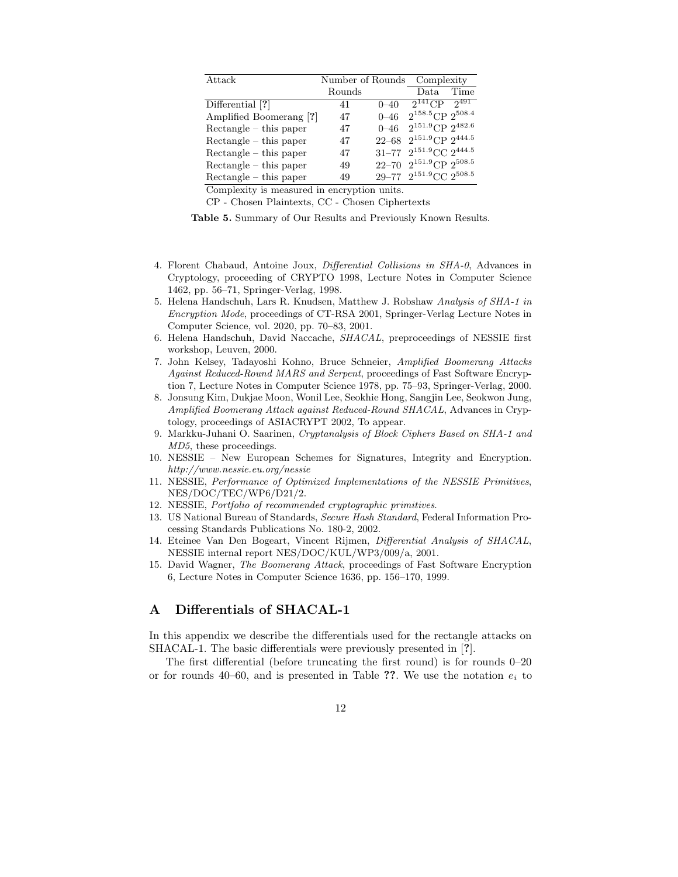| Attack                   | Number of Rounds |           | Complexity                       |      |
|--------------------------|------------------|-----------|----------------------------------|------|
|                          | Rounds           |           | Data.                            | Time |
| Differential [?]         | 41               | $0 - 40$  | $2^{141}$ CP $2^{491}$           |      |
| Amplified Boomerang [?]  | 47               | $0 - 46$  | $2^{158.5}$ CP $2^{508.4}$       |      |
| $Rectangle - this paper$ | 47               | $0 - 46$  | $2^{151.9}$ CP $2^{482.6}$       |      |
| $Rectangle - this paper$ | 47               | $22 - 68$ | $2^{151.9}$ CP $2^{444.5}$       |      |
| $Rectangle - this paper$ | 47               |           | 31-77 $2^{151.9}$ CC $2^{444.5}$ |      |
| $Rectangle - this paper$ | 49               |           | 22-70 $2^{151.9}$ CP $2^{508.5}$ |      |
| $Rectangle - this paper$ | 49               |           | 29-77 $2^{151.9}$ CC $2^{508.5}$ |      |

Complexity is measured in encryption units.

CP - Chosen Plaintexts, CC - Chosen Ciphertexts

Table 5. Summary of Our Results and Previously Known Results.

- 4. Florent Chabaud, Antoine Joux, Differential Collisions in SHA-0, Advances in Cryptology, proceeding of CRYPTO 1998, Lecture Notes in Computer Science 1462, pp. 56–71, Springer-Verlag, 1998.
- 5. Helena Handschuh, Lars R. Knudsen, Matthew J. Robshaw Analysis of SHA-1 in Encryption Mode, proceedings of CT-RSA 2001, Springer-Verlag Lecture Notes in Computer Science, vol. 2020, pp. 70–83, 2001.
- 6. Helena Handschuh, David Naccache, SHACAL, preproceedings of NESSIE first workshop, Leuven, 2000.
- 7. John Kelsey, Tadayoshi Kohno, Bruce Schneier, Amplified Boomerang Attacks Against Reduced-Round MARS and Serpent, proceedings of Fast Software Encryption 7, Lecture Notes in Computer Science 1978, pp. 75–93, Springer-Verlag, 2000.
- 8. Jonsung Kim, Dukjae Moon, Wonil Lee, Seokhie Hong, Sangjin Lee, Seokwon Jung, Amplified Boomerang Attack against Reduced-Round SHACAL, Advances in Cryptology, proceedings of ASIACRYPT 2002, To appear.
- 9. Markku-Juhani O. Saarinen, Cryptanalysis of Block Ciphers Based on SHA-1 and MD5, these proceedings.
- 10. NESSIE New European Schemes for Signatures, Integrity and Encryption. http://www.nessie.eu.org/nessie
- 11. NESSIE, Performance of Optimized Implementations of the NESSIE Primitives, NES/DOC/TEC/WP6/D21/2.
- 12. NESSIE, Portfolio of recommended cryptographic primitives.
- 13. US National Bureau of Standards, Secure Hash Standard, Federal Information Processing Standards Publications No. 180-2, 2002.
- 14. Eteinee Van Den Bogeart, Vincent Rijmen, Differential Analysis of SHACAL, NESSIE internal report NES/DOC/KUL/WP3/009/a, 2001.
- 15. David Wagner, The Boomerang Attack, proceedings of Fast Software Encryption 6, Lecture Notes in Computer Science 1636, pp. 156–170, 1999.

## A Differentials of SHACAL-1

In this appendix we describe the differentials used for the rectangle attacks on SHACAL-1. The basic differentials were previously presented in [?].

The first differential (before truncating the first round) is for rounds 0–20 or for rounds 40–60, and is presented in Table ??. We use the notation  $e_i$  to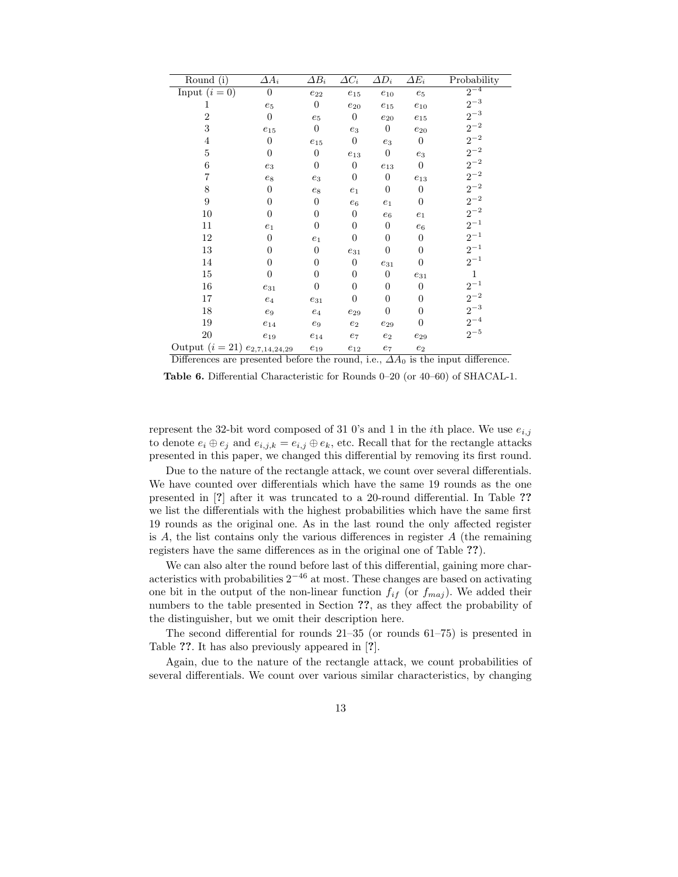| Round (i)                          | $\varDelta A_i$  | $\overline{\Delta B_i}$ | $\Delta C_i$          | $\Delta D_i$        | $\varDelta E_i$  | Probability |
|------------------------------------|------------------|-------------------------|-----------------------|---------------------|------------------|-------------|
| Input $(i = 0)$                    | $\overline{0}$   | $\mathfrak{e}_{22}$     | $e_{15}$              | $e_{10}$            | $e_5$            | $2^{-4}$    |
| 1                                  | $e_5$            | $\boldsymbol{0}$        | $\mathfrak{e}_{20}$   | $e_{15}$            | $e_{10}$         | $2^{-3}$    |
| $\overline{2}$                     | $\boldsymbol{0}$ | $e_5$                   | $\boldsymbol{0}$      | $\mathfrak{e}_{20}$ | $e_{15}$         | $2^{-3}$    |
| 3                                  | $e_{15}$         | $\boldsymbol{0}$        | $\mathfrak{e}_3$      | $\boldsymbol{0}$    | $e_{20}$         | $2^{-2}$    |
| 4                                  | $\boldsymbol{0}$ | $e_{15}$                | $\boldsymbol{0}$      | $e_3$               | $\overline{0}$   | $2^{-2}$    |
| 5                                  | $\boldsymbol{0}$ | $\boldsymbol{0}$        | $\boldsymbol{e}_{13}$ | $\boldsymbol{0}$    | $e_3$            | $2^{-2}$    |
| 6                                  | $\mathfrak{e}_3$ | $\boldsymbol{0}$        | $\overline{0}$        | $e_{13}$            | $\boldsymbol{0}$ | $2^{-2}$    |
| 7                                  | $e_8$            | $e_3$                   | $\overline{0}$        | $\boldsymbol{0}$    | $e_{13}$         | $2^{-2}$    |
| 8                                  | $\boldsymbol{0}$ | $\mathfrak{e}_8$        | $e_1$                 | $\boldsymbol{0}$    | $\boldsymbol{0}$ | $2^{-2}\,$  |
| 9                                  | $\overline{0}$   | 0                       | $e_6$                 | $e_1$               | $\overline{0}$   | $2^{-2}$    |
| 10                                 | $\boldsymbol{0}$ | 0                       | $\boldsymbol{0}$      | $e_6$               | $e_1$            | $2^{-2}$    |
| 11                                 | $e_1$            | $\boldsymbol{0}$        | 0                     | $\boldsymbol{0}$    | $\,e_6$          | $2^{-1}$    |
| 12                                 | $\overline{0}$   | $\boldsymbol{e}_1$      | $\boldsymbol{0}$      | $\overline{0}$      | $\overline{0}$   | $2^{-1}$    |
| 13                                 | $\boldsymbol{0}$ | 0                       | $e_{31}$              | $\boldsymbol{0}$    | $\theta$         | $2^{-1}$    |
| 14                                 | $\boldsymbol{0}$ | $\overline{0}$          | $\boldsymbol{0}$      | $e_{31}$            | $\overline{0}$   | $2^{-1}$    |
| 15                                 | $\overline{0}$   | $\overline{0}$          | $\overline{0}$        | $\boldsymbol{0}$    | $e_{31}$         | 1           |
| 16                                 | $e_{31}$         | $\boldsymbol{0}$        | 0                     | $\boldsymbol{0}$    | $\boldsymbol{0}$ | $2^{-1}$    |
| 17                                 | $\mathfrak{e}_4$ | $\mathfrak{e}_{31}$     | $\boldsymbol{0}$      | $\boldsymbol{0}$    | $\theta$         | $2^{-2}$    |
| 18                                 | $e_9$            | $\mathfrak{e}_4$        | $e_{29}$              | $\boldsymbol{0}$    | $\boldsymbol{0}$ | $2^{-3}$    |
| 19                                 | $e_{14}$         | $e_9$                   | $\mathfrak{e}_2$      | $e_{29}$            | $\overline{0}$   | $2^{-4}$    |
| 20                                 | $e_{19}$         | $e_{14}$                | $\ensuremath{e_7}$    | $\mathfrak{e}_2$    | $e_{29}$         | $2^{-5}$    |
| Output $(i = 21) e_{2,7,14,24,29}$ |                  | $e_{19}$                | $e_{12}$              | $e_7$               | $e_2$            |             |

Differences are presented before the round, i.e.,  $\Delta A_0$  is the input difference.

Table 6. Differential Characteristic for Rounds 0-20 (or 40-60) of SHACAL-1.

represent the 32-bit word composed of 31 0's and 1 in the *i*th place. We use  $e_{i,j}$ to denote  $e_i \oplus e_j$  and  $e_{i,j,k} = e_{i,j} \oplus e_k$ , etc. Recall that for the rectangle attacks presented in this paper, we changed this differential by removing its first round.

Due to the nature of the rectangle attack, we count over several differentials. We have counted over differentials which have the same 19 rounds as the one presented in [?] after it was truncated to a 20-round differential. In Table ?? we list the differentials with the highest probabilities which have the same first 19 rounds as the original one. As in the last round the only affected register is A, the list contains only the various differences in register  $A$  (the remaining registers have the same differences as in the original one of Table ??).

We can also alter the round before last of this differential, gaining more characteristics with probabilities  $2^{-46}$  at most. These changes are based on activating one bit in the output of the non-linear function  $f_{if}$  (or  $f_{maj}$ ). We added their numbers to the table presented in Section ??, as they affect the probability of the distinguisher, but we omit their description here.

The second differential for rounds  $21-35$  (or rounds  $61-75$ ) is presented in Table ??. It has also previously appeared in [?].

Again, due to the nature of the rectangle attack, we count probabilities of several differentials. We count over various similar characteristics, by changing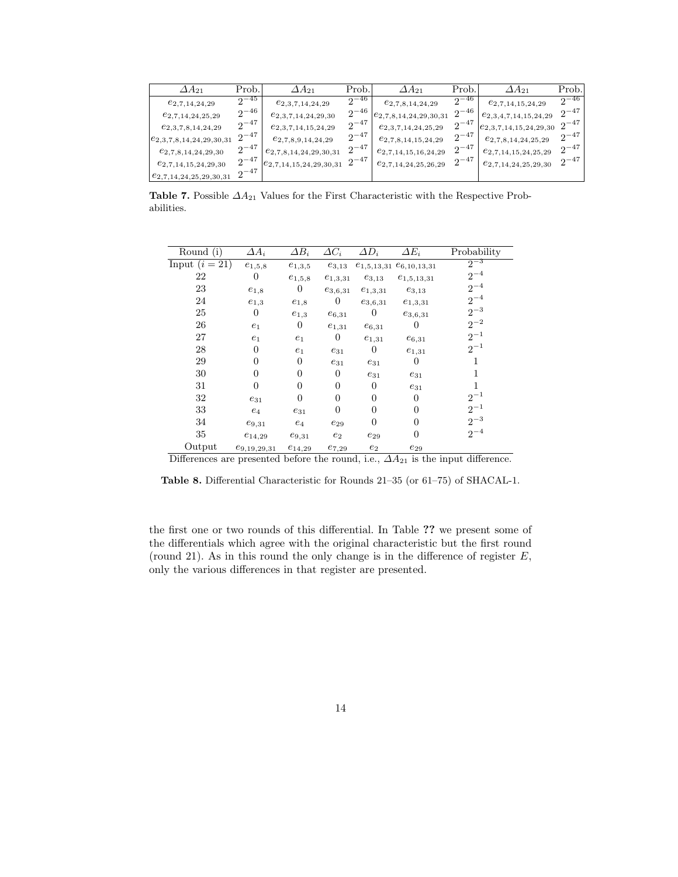| $\varDelta A_{21}$               | Prob.     | $\Delta A_{21}$             | Prob.     | $\Delta A_{21}$            | Prob.     | $\Delta A_{21}$            | Prob.     |
|----------------------------------|-----------|-----------------------------|-----------|----------------------------|-----------|----------------------------|-----------|
| $e_{2,7,14,24,29}$               | $2^{-45}$ | $e_{2,3,7,14,24,29}$        | $2^{-46}$ | $e_{2,7,8,14,24,29}$       | $2^{-46}$ | $e_{2,7,14,15,24,29}$      | $2^{-46}$ |
| $e_{2,7,14,24,25,29}$            | $2^{-46}$ | $e_{2,3,7,14,24,29,30}$     | $2^{-46}$ | $e_{2,7,8,14,24,29,30,31}$ | $2^{-46}$ | $e_{2,3,4,7,14,15,24,29}$  | $2^{-47}$ |
| $e_{2,3,7,8,14,24,29}$           | $2^{-47}$ | $e_{2,3,7,14,15,24,29}$     | $2^{-47}$ | $e_{2,3,7,14,24,25,29}$    | $2^{-47}$ | $e_{2,3,7,14,15,24,29,30}$ | $2^{-47}$ |
| $\{e_{2,3,7,8,14,24,29,30,31}\}$ | $2^{-47}$ | $e_{2,7,8,9,14,24,29}$      | $2^{-47}$ | $e_{2,7,8,14,15,24,29}$    | $2^{-47}$ | $e_{2,7,8,14,24,25,29}$    | $2^{-47}$ |
| $e_{2,7,8,14,24,29,30}$          | $2^{-47}$ | $e_{2,7,8,14,24,29,30,31}$  | $2^{-47}$ | $e_{2,7,14,15,16,24,29}$   | $2^{-47}$ | $e_{2,7,14,15,24,25,29}$   | $2^{-47}$ |
| $e_{2,7,14,15,24,29,30}$         | $2^{-47}$ | $e_{2,7,14,15,24,29,30,31}$ | $2^{-47}$ | $e_{2,7,14,24,25,26,29}$   | $2^{-47}$ | $e_{2,7,14,24,25,29,30}$   | $2^{-47}$ |
| $e_{2,7,14,24,25,29,30,31}$      | $2^{-47}$ |                             |           |                            |           |                            |           |

**Table 7.** Possible  $\Delta A_{21}$  Values for the First Characteristic with the Respective Prob $abilities.$ 

| Round (i)        | $\overline{\Delta A_i}$ | $\Delta B_i$     | $\varDelta C_i$ | $\overline{\Delta D_i}$ | $\Delta E_i$                     | Probability |
|------------------|-------------------------|------------------|-----------------|-------------------------|----------------------------------|-------------|
| Input $(i = 21)$ | $e_{1,5,8}$             | $e_{1,3,5}$      | $e_{3,13}$      |                         | $e_{1,5,13,31}$ $e_{6,10,13,31}$ | $2^{-3}$    |
| 22               | $\Omega$                | $e_{1,5,8}$      | $e_{1,3,31}$    | $e_{3,13}$              | $e_{1,5,13,31}$                  | $2^{-4}$    |
| 23               | $e_{1,8}$               | $\overline{0}$   | $e_{3,6,31}$    | $e_{1,3,31}$            | $e_{3,13}$                       | $2^{-4}$    |
| 24               | $e_{1,3}$               | $e_{1,8}$        | $\theta$        | $e_{3,6,31}$            | $e_{1,3,31}$                     | $2^{-4}$    |
| 25               | $\overline{0}$          | $e_{1,3}$        | $e_{6,31}$      | $\boldsymbol{0}$        | $e_{3,6,31}$                     | $2^{-3}$    |
| 26               | $e_1$                   | $\boldsymbol{0}$ | $e_{1,31}$      | $e_{6,31}$              | $\theta$                         | $2^{-2}$    |
| 27               | $e_1$                   | $e_1$            | $\theta$        | $e_{1,31}$              | $e_{6,31}$                       | $2^{-1}$    |
| 28               | $\Omega$                | $e_1$            | $e_{31}$        | $\boldsymbol{0}$        | $e_{1,31}$                       | $2^{-1}$    |
| 29               | $\theta$                | $\overline{0}$   | $e_{31}$        | $e_{31}$                | $\theta$                         | 1           |
| 30               | 0                       | $\overline{0}$   | $\overline{0}$  | $e_{31}$                | $e_{31}$                         |             |
| 31               | 0                       | $\overline{0}$   | $\theta$        | $\overline{0}$          | $e_{31}$                         |             |
| 32               | $e_{31}$                | $\overline{0}$   | $\overline{0}$  | 0                       | $\Omega$                         | $2^{-1}$    |
| 33               | $e_4$                   | $e_{31}$         | $\overline{0}$  | $\overline{0}$          | $\theta$                         | $2^{-1}$    |
| 34               | $e_{9,31}$              | $e_4$            | $e_{29}$        | $\overline{0}$          | $\theta$                         | $2^{-3}$    |
| 35               | $e_{14,29}$             | $e_{9,31}$       | $e_2$           | $e_{29}$                | 0                                | $2^{-4}$    |
| Output           | $e_{9,19,29,31}$        | $e_{14,29}$      | $e_{7,29}$      | $e_2$                   | $e_{29}$                         |             |

Differences are presented before the round, i.e.,  $\Delta A_{21}$  is the input difference.

Table 8. Differential Characteristic for Rounds 21-35 (or 61-75) of SHACAL-1.

the first one or two rounds of this differential. In Table ?? we present some of the differentials which agree with the original characteristic but the first round (round 21). As in this round the only change is in the difference of register  $E$ , only the various differences in that register are presented.